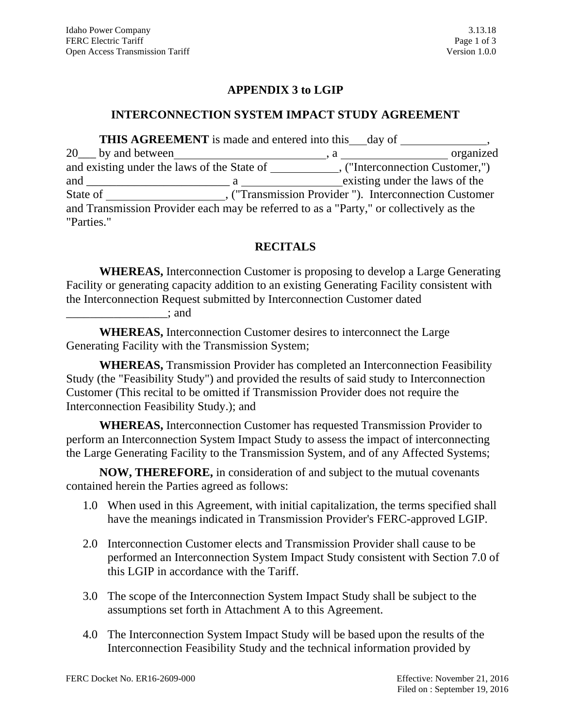### **APPENDIX 3 to LGIP**

#### **INTERCONNECTION SYSTEM IMPACT STUDY AGREEMENT**

**THIS AGREEMENT** is made and entered into this day of , 20\_\_\_ by and between , a organized and existing under the laws of the State of \_\_\_\_\_\_\_\_\_\_\_\_\_\_, ("Interconnection Customer,") and \_\_\_\_\_\_\_\_\_\_\_\_\_\_\_\_\_\_\_\_\_\_\_\_ a existing under the laws of the State of , ("Transmission Provider "). Interconnection Customer and Transmission Provider each may be referred to as a "Party," or collectively as the "Parties."

# **RECITALS**

**WHEREAS,** Interconnection Customer is proposing to develop a Large Generating Facility or generating capacity addition to an existing Generating Facility consistent with the Interconnection Request submitted by Interconnection Customer dated

\_\_\_\_\_\_\_\_\_\_\_\_\_\_\_\_\_; and

**WHEREAS,** Interconnection Customer desires to interconnect the Large Generating Facility with the Transmission System;

**WHEREAS,** Transmission Provider has completed an Interconnection Feasibility Study (the "Feasibility Study") and provided the results of said study to Interconnection Customer (This recital to be omitted if Transmission Provider does not require the Interconnection Feasibility Study.); and

**WHEREAS,** Interconnection Customer has requested Transmission Provider to perform an Interconnection System Impact Study to assess the impact of interconnecting the Large Generating Facility to the Transmission System, and of any Affected Systems;

**NOW, THEREFORE,** in consideration of and subject to the mutual covenants contained herein the Parties agreed as follows:

- 1.0 When used in this Agreement, with initial capitalization, the terms specified shall have the meanings indicated in Transmission Provider's FERC-approved LGIP.
- 2.0 Interconnection Customer elects and Transmission Provider shall cause to be performed an Interconnection System Impact Study consistent with Section 7.0 of this LGIP in accordance with the Tariff.
- 3.0 The scope of the Interconnection System Impact Study shall be subject to the assumptions set forth in Attachment A to this Agreement.
- 4.0 The Interconnection System Impact Study will be based upon the results of the Interconnection Feasibility Study and the technical information provided by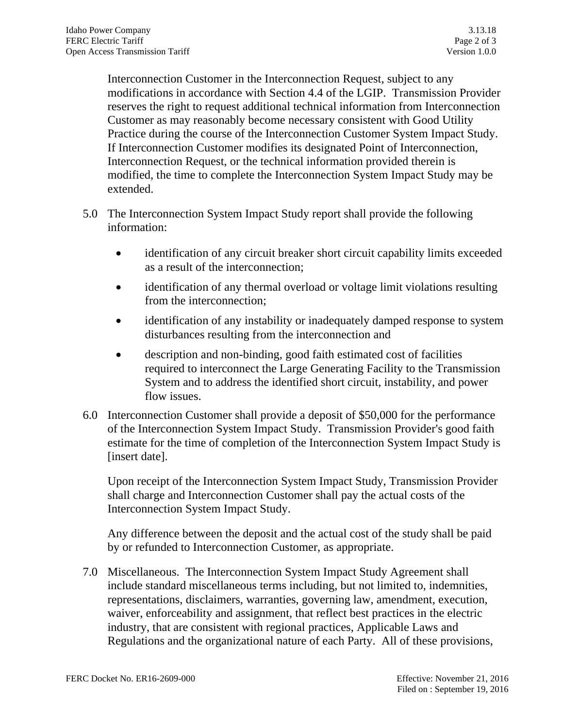Interconnection Customer in the Interconnection Request, subject to any modifications in accordance with Section 4.4 of the LGIP. Transmission Provider reserves the right to request additional technical information from Interconnection Customer as may reasonably become necessary consistent with Good Utility Practice during the course of the Interconnection Customer System Impact Study. If Interconnection Customer modifies its designated Point of Interconnection, Interconnection Request, or the technical information provided therein is modified, the time to complete the Interconnection System Impact Study may be extended.

- 5.0 The Interconnection System Impact Study report shall provide the following information:
	- identification of any circuit breaker short circuit capability limits exceeded as a result of the interconnection;
	- identification of any thermal overload or voltage limit violations resulting from the interconnection;
	- identification of any instability or inadequately damped response to system disturbances resulting from the interconnection and
	- description and non-binding, good faith estimated cost of facilities required to interconnect the Large Generating Facility to the Transmission System and to address the identified short circuit, instability, and power flow issues.
- 6.0 Interconnection Customer shall provide a deposit of \$50,000 for the performance of the Interconnection System Impact Study. Transmission Provider's good faith estimate for the time of completion of the Interconnection System Impact Study is [insert date].

Upon receipt of the Interconnection System Impact Study, Transmission Provider shall charge and Interconnection Customer shall pay the actual costs of the Interconnection System Impact Study.

Any difference between the deposit and the actual cost of the study shall be paid by or refunded to Interconnection Customer, as appropriate.

7.0 Miscellaneous. The Interconnection System Impact Study Agreement shall include standard miscellaneous terms including, but not limited to, indemnities, representations, disclaimers, warranties, governing law, amendment, execution, waiver, enforceability and assignment, that reflect best practices in the electric industry, that are consistent with regional practices, Applicable Laws and Regulations and the organizational nature of each Party. All of these provisions,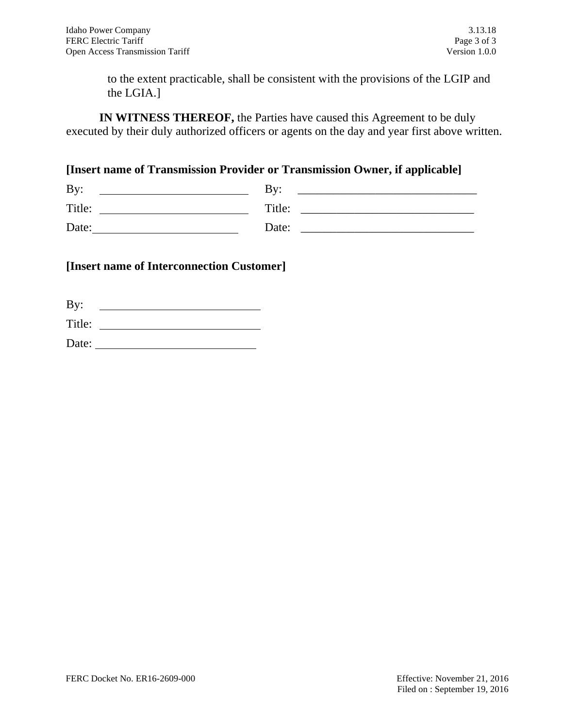to the extent practicable, shall be consistent with the provisions of the LGIP and the LGIA.]

**IN WITNESS THEREOF,** the Parties have caused this Agreement to be duly executed by their duly authorized officers or agents on the day and year first above written.

**[Insert name of Transmission Provider or Transmission Owner, if applicable]**

| By:    | $\mathbf{B}v$ : |
|--------|-----------------|
| Title: | Title:          |
| Date:  | Date:           |

### **[Insert name of Interconnection Customer]**

| By:    |  |
|--------|--|
| Title: |  |
| Date:  |  |